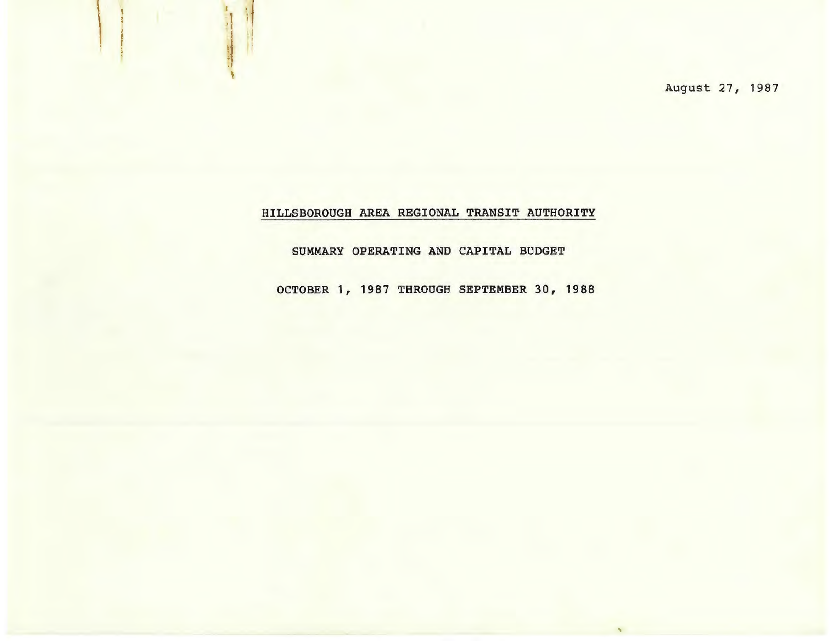August 27, 1987

'

# HILLSBOROUGH AREA REGIONAL TRANSIT AUTHORITY

 $\mathbf{I}$ 

 $\sim$ f I

I I I

t

## SUMMARY OPERATING AND CAPITAL BUDGET

OCTOBER 1, 1987 THROUGH SEPTEMBER 30, 1988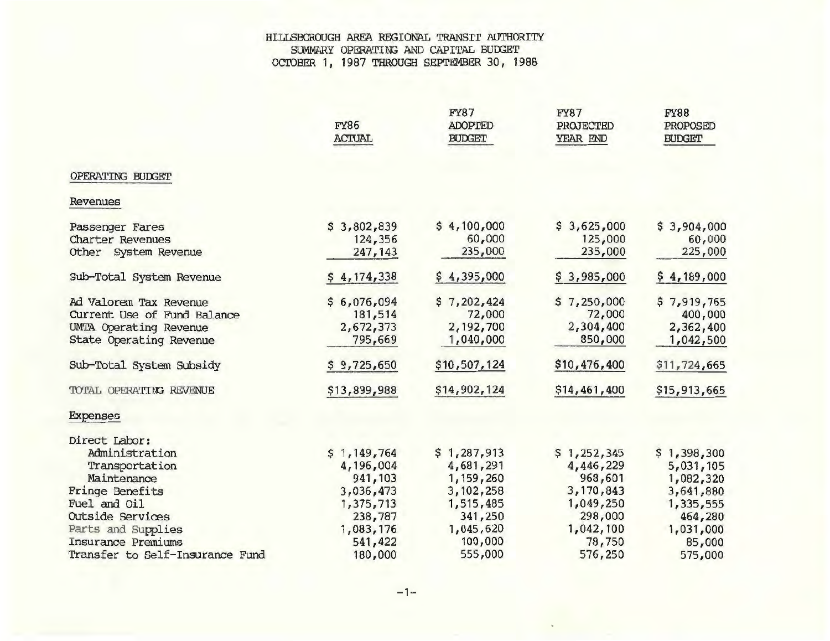#### HILLSBOROUGH AREA REGIONAL TRANSI'r AUTHORITY SUMMARY OPERATING AND CAPITAL BUDGET OCTOBER 1, 1987 THROUGH SEPTEMBER 30, 1988

|                                 | <b>FY86</b><br><b>ACTUAL</b> | <b>FY87</b><br><b>ADOPTED</b><br><b>BUDGET</b> | <b>FY87</b><br>PROJECTED<br>YEAR END | <b>FY88</b><br>PROPOSED<br><b>BUDGET</b> |
|---------------------------------|------------------------------|------------------------------------------------|--------------------------------------|------------------------------------------|
| OPERATING BUDGET                |                              |                                                |                                      |                                          |
| Revenues                        |                              |                                                |                                      |                                          |
| Passenger Fares                 | \$3,802,839                  | \$4,100,000                                    | \$3,625,000                          | \$3,904,000                              |
| Charter Revenues                | 124,356                      | 60,000                                         | 125,000                              | 60,000                                   |
| Other System Revenue            | 247,143                      | 235,000                                        | 235,000                              | 225,000                                  |
| Sub-Total System Revenue        | \$4,174,338                  | \$4,395,000                                    | \$3,985,000                          | \$4,189,000                              |
| Ad Valorem Tax Revenue          | \$6,076,094                  | \$7,202,424                                    | \$7,250,000                          | \$7,919,765                              |
| Current Use of Fund Balance     | 181,514                      | 72,000                                         | 72,000                               | 400,000                                  |
| UMTA Operating Revenue          | 2,672,373                    | 2,192,700                                      | 2,304,400                            | 2,362,400                                |
| State Operating Revenue         | 795,669                      | 1,040,000                                      | 850,000                              | 1,042,500                                |
| Sub-Total System Subsidy        | \$9,725,650                  | \$10,507,124                                   | \$10,476,400                         | \$11,724,665                             |
| TOTAL OPERATING REVENUE         | \$13,899,988                 | \$14,902,124                                   | \$14,461,400                         | \$15,913,665                             |
| Expenses                        |                              |                                                |                                      |                                          |
| Direct Labor:                   |                              |                                                |                                      |                                          |
| Administration                  | \$1,149,764                  | \$1,287,913                                    | \$1,252,345                          | \$1,398,300                              |
| Transportation                  | 4,196,004                    | 4,681,291                                      | 4,446,229                            | 5,031,105                                |
| Maintenance                     | 941,103                      | 1,159,260                                      | 968,601                              | 1,082,320                                |
| Fringe Benefits                 | 3,036,473                    | 3,102,258                                      | 3,170,843                            | 3,641,880                                |
| Fuel and Oil                    | 1,375,713                    | 1,515,485                                      | 1,049,250                            | 1,335,555                                |
| Outside Services                | 238,787                      | 341,250                                        | 298,000                              | 464,280                                  |
| Parts and Supplies              | 1,083,176                    | 1,045,620                                      | 1,042,100                            | 1,031,000                                |
| Insurance Premiums              | 541,422                      | 100,000                                        | 78,750                               | 85,000                                   |
| Transfer to Self-Insurance Fund | 180,000                      | 555,000                                        | 576,250                              | 575,000                                  |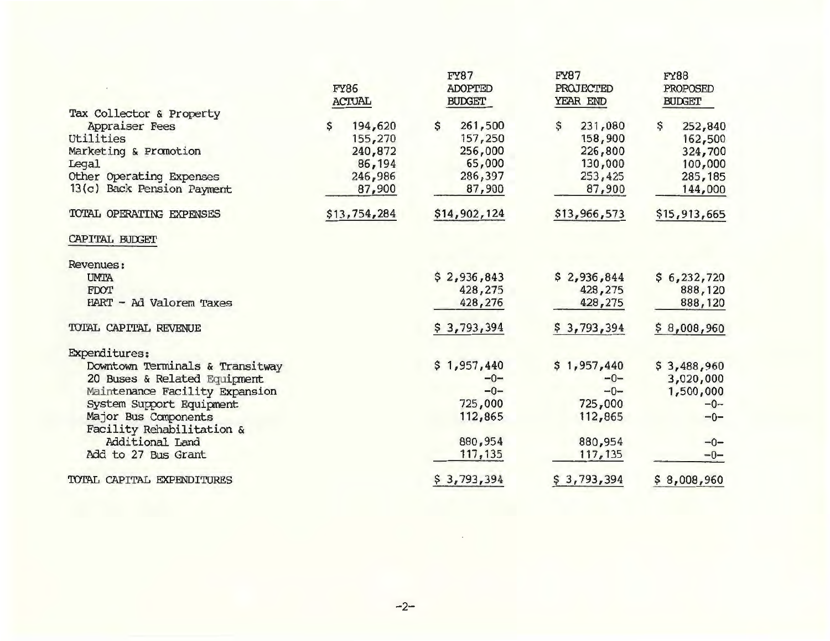|                                 | <b>FY86</b><br><b>ACTUAL</b> | <b>FY87</b><br><b>ADOPTED</b><br><b>BUDGET</b> | <b>FY87</b><br><b>PROJECTED</b><br>YEAR END | <b>FY88</b><br>PROPOSED<br><b>BUDGET</b> |
|---------------------------------|------------------------------|------------------------------------------------|---------------------------------------------|------------------------------------------|
| Tax Collector & Property        |                              |                                                |                                             |                                          |
| Appraiser Fees                  | 194,620<br>Ś                 | \$<br>261,500                                  | \$<br>231,080                               | \$<br>252,840                            |
| Utilities                       | 155,270                      | 157,250                                        | 158,900                                     | 162,500                                  |
| Marketing & Promotion           | 240,872                      | 256,000                                        | 226,800                                     | 324,700                                  |
| <b>Legal</b>                    | 86,194                       | 65,000                                         | 130,000                                     | 100,000                                  |
| Other Operating Expenses        | 246,986                      | 286,397                                        | 253,425                                     | 285, 185                                 |
| 13(c) Back Pension Payment      | 87,900                       | 87,900                                         | 87,900                                      | 144,000                                  |
| TOTAL OPERATING EXPENSES        | \$13,754,284                 | \$14,902,124                                   | \$13,966,573                                | \$15,913,665                             |
| CAPITAL BUDGET                  |                              |                                                |                                             |                                          |
| Revenues:                       |                              |                                                |                                             |                                          |
| <b>UMTA</b>                     |                              | \$2,936,843                                    | \$2,936,844                                 | \$6,232,720                              |
| <b>FDOT</b>                     |                              | 428,275                                        | 428,275                                     | 888,120                                  |
| HART - Ad Valorem Taxes         |                              | 428,276                                        | 428,275                                     | 888,120                                  |
| TOTAL CAPITAL REVENUE           |                              | \$3,793,394                                    | \$3,793,394                                 | \$8,008,960                              |
| <b>Expenditures:</b>            |                              |                                                |                                             |                                          |
| Downtown Terminals & Transitway |                              | \$1,957,440                                    | \$1,957,440                                 | \$3,488,960                              |
| 20 Buses & Related Equipment    |                              | $-0-$                                          | $-0-$                                       | 3,020,000                                |
| Maintenance Facility Expansion  |                              | $-0-$                                          | $-0-$                                       | 1,500,000                                |
| System Support Equipment        |                              | 725,000                                        | 725,000                                     | $-0-$                                    |
| Major Bus Components            |                              | 112,865                                        | 112,865                                     | $-0-$                                    |
| Facility Rehabilitation &       |                              |                                                |                                             |                                          |
| Additional Land                 |                              | 880,954                                        | 880,954                                     | $-0-$                                    |
| Add to 27 Bus Grant             |                              | 117,135                                        | 117,135                                     | $-0-$                                    |
| TOTAL CAPITAL EXPENDITURES      |                              | \$3,793,394                                    | \$3,793,394                                 | \$8,008,960                              |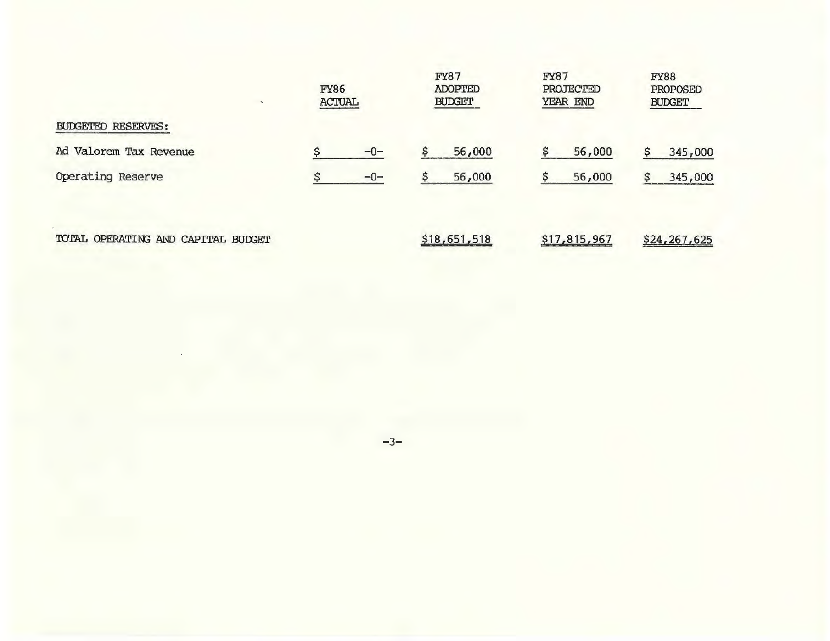|                                    | <b>FY86</b><br><b>ACTUAL</b> |       | <b>FY87</b><br><b>ADOPTED</b><br><b>BUDGET</b> |              | <b>FY87</b><br><b>PROJECTED</b><br>YEAR END | <b>FY88</b><br>PROPOSED<br><b>BUDGET</b> |  |
|------------------------------------|------------------------------|-------|------------------------------------------------|--------------|---------------------------------------------|------------------------------------------|--|
| <b>BUDGETED RESERVES:</b>          |                              |       |                                                |              |                                             |                                          |  |
| Ad Valorem Tax Revenue             |                              | $-0-$ |                                                | 56,000       | 56,000                                      | 345,000<br>s                             |  |
| Operating Reserve                  | ℯ                            | $-0-$ |                                                | 56,000       | 56,000                                      | 345,000<br>s                             |  |
| TOTAL OPERATING AND CAPITAL BUDGET |                              |       |                                                | \$18,651,518 | \$17,815,967                                | \$24,267,625                             |  |

-3-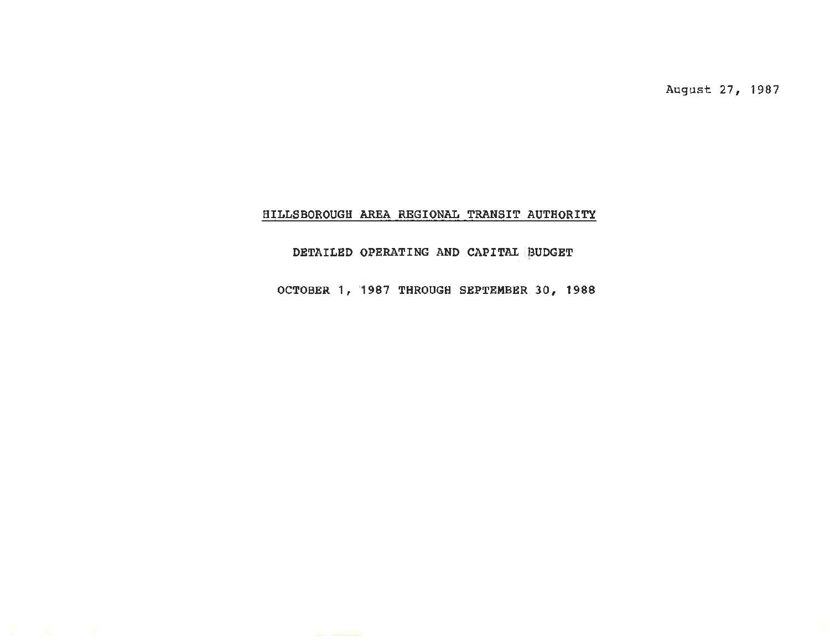August 27, 1987

## HILLSBOROUGH AREA REGIONAL TRANSIT AUTHORITY

## DETAILED OPERATING AND CAPITAL BUDGET

OCTOBER 1, 1987 THROUGH SEPTEMBER 30, 1988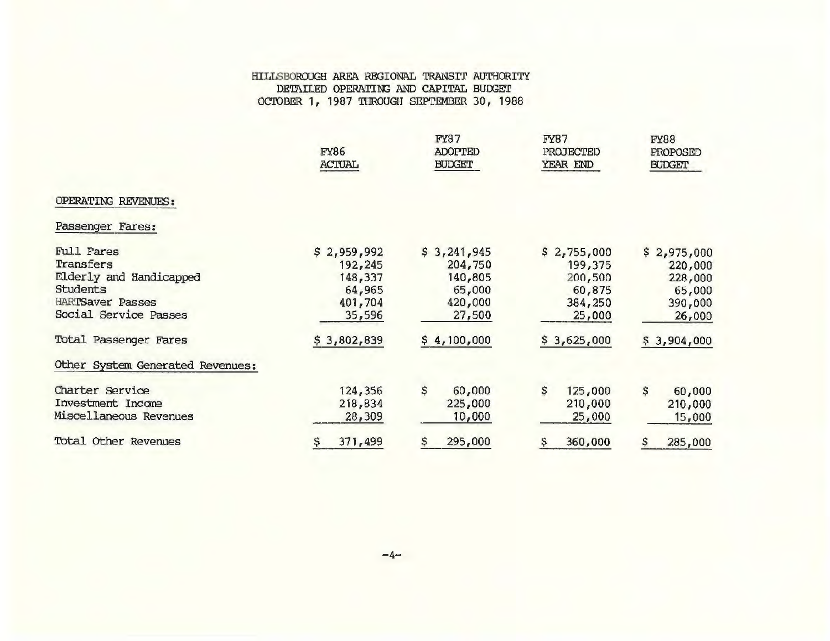### HILLSBOROUGH AREA REGIONAL TRANSI'r AUTHORITY DETAILED OPERATING AND CAPITAL BUDGET OCIOBER 1, 1987 THROUGH SEPTEMBER 30, 1988

|                                                                                                                                                    | <b>FY86</b><br><b>ACTUAL</b>                                                     | <b>FY87</b><br><b>ADOPTED</b><br><b>BUDGET</b>                                  | <b>FY87</b><br>PROJECTED<br>YEAR END                                            | <b>FY88</b><br>PROPOSED<br><b>BUDGET</b>                                        |
|----------------------------------------------------------------------------------------------------------------------------------------------------|----------------------------------------------------------------------------------|---------------------------------------------------------------------------------|---------------------------------------------------------------------------------|---------------------------------------------------------------------------------|
| OPERATING REVENUES:                                                                                                                                |                                                                                  |                                                                                 |                                                                                 |                                                                                 |
| Passenger Fares:                                                                                                                                   |                                                                                  |                                                                                 |                                                                                 |                                                                                 |
| Full Fares<br>Transfers<br>Elderly and Handicapped<br><b>Students</b><br><b>HARTSaver Passes</b><br>Social Service Passes<br>Total Passenger Fares | \$2,959,992<br>192, 245<br>148,337<br>64,965<br>401,704<br>35,596<br>\$3,802,839 | \$3,241,945<br>204,750<br>140,805<br>65,000<br>420,000<br>27,500<br>\$4,100,000 | \$2,755,000<br>199,375<br>200,500<br>60,875<br>384,250<br>25,000<br>\$3,625,000 | \$2,975,000<br>220,000<br>228,000<br>65,000<br>390,000<br>26,000<br>\$3,904,000 |
| Other System Generated Revenues:                                                                                                                   |                                                                                  |                                                                                 |                                                                                 |                                                                                 |
| Charter Service<br>Investment Income<br>Miscellaneous Revenues                                                                                     | 124,356<br>218,834<br>28,309                                                     | \$<br>60,000<br>225,000<br>10,000                                               | \$<br>125,000<br>210,000<br>25,000                                              | \$<br>60,000<br>210,000<br>15,000                                               |
| Total Other Revenues                                                                                                                               | 371,499<br>Ş                                                                     | 295,000                                                                         | 360,000                                                                         | 285,000<br>\$                                                                   |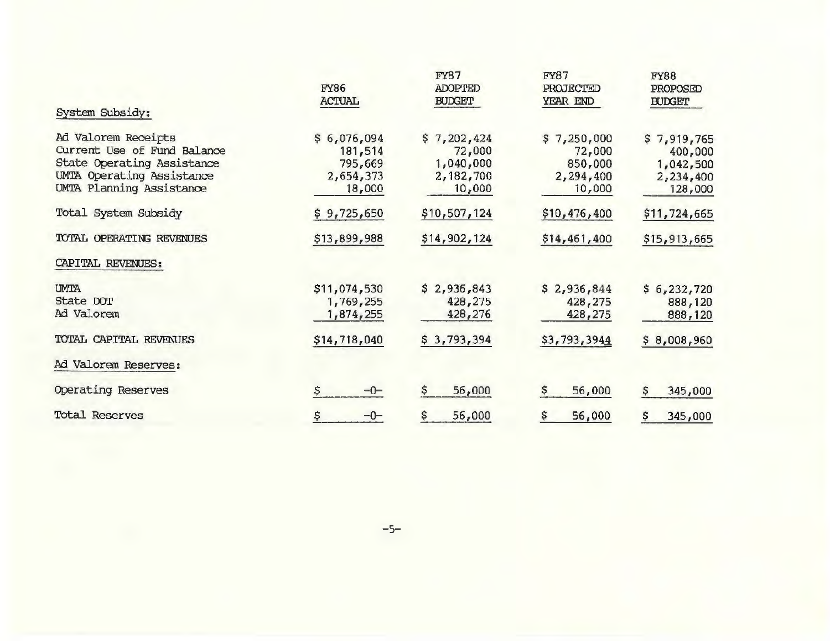| System Subsidy:                                                                                                                           | <b>FY86</b><br><b>ACTUAL</b>                             | <b>FY87</b><br><b>ADOPTED</b><br><b>BUDGET</b>            | <b>FY87</b><br>PROJECTED<br>YEAR END                    | <b>FY88</b><br>PROPOSED<br><b>BUDGET</b>                    |
|-------------------------------------------------------------------------------------------------------------------------------------------|----------------------------------------------------------|-----------------------------------------------------------|---------------------------------------------------------|-------------------------------------------------------------|
| Ad Valorem Receipts<br>Current Use of Fund Balance<br>State Operating Assistance<br>UMTA Operating Assistance<br>UMTA Planning Assistance | \$6,076,094<br>181,514<br>795,669<br>2,654,373<br>18,000 | \$7,202,424<br>72,000<br>1,040,000<br>2,182,700<br>10,000 | \$7,250,000<br>72,000<br>850,000<br>2,294,400<br>10,000 | \$7,919,765<br>400,000<br>1,042,500<br>2,234,400<br>128,000 |
| Total System Subsidy                                                                                                                      | \$9,725,650                                              | \$10,507,124                                              | \$10,476,400                                            | \$11,724,665                                                |
| TOTAL OPERATING REVENUES                                                                                                                  | \$13,899,988                                             | \$14,902,124                                              | \$14,461,400                                            | \$15,913,665                                                |
| CAPITAL REVENUES:                                                                                                                         |                                                          |                                                           |                                                         |                                                             |
| <b>UMTA</b><br>State DOT<br>Ad Valorem                                                                                                    | \$11,074,530<br>1,769,255<br>1,874,255                   | \$2,936,843<br>428,275<br>428,276                         | \$<br>2,936,844<br>428,275<br>428,275                   | \$6,232,720<br>888,120<br>888,120                           |
| TOTAL CAPITAL REVENUES                                                                                                                    | \$14,718,040                                             | \$3,793,394                                               | \$3,793,3944                                            | \$8,008,960                                                 |
| Ad Valorem Reserves:                                                                                                                      |                                                          |                                                           |                                                         |                                                             |
| Operating Reserves                                                                                                                        | \$<br>$-0-$                                              | \$<br>56,000                                              | \$<br>56,000                                            | 345,000<br>\$.                                              |
| Total Reserves                                                                                                                            | \$<br>$-0-$                                              | 56,000                                                    | 56,000                                                  | \$<br>345,000                                               |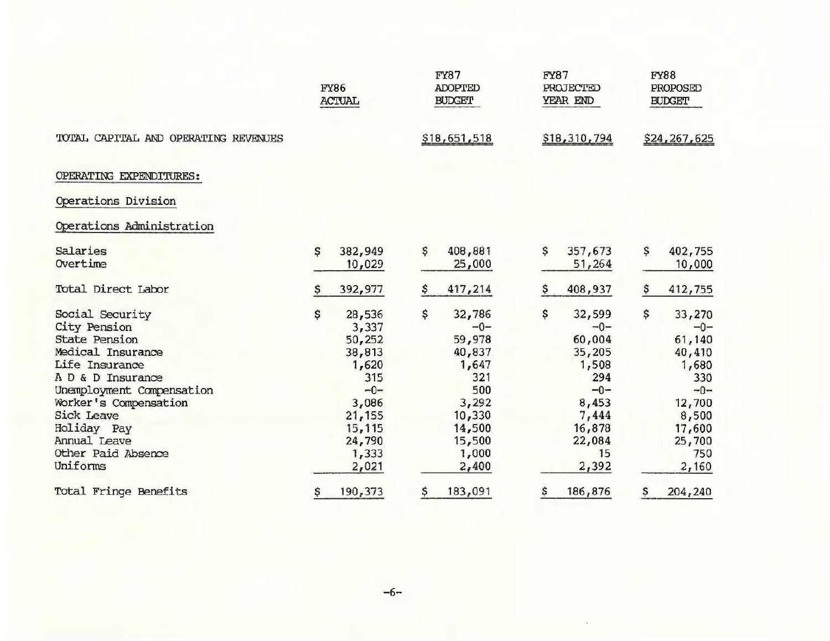|                                      |    | <b>FY86</b><br><b>ACTUAL</b> | <b>FY87</b><br><b>ADOPTED</b><br><b>BUDGET</b> |              | <b>FY87</b><br>PROJECTED<br>YEAR END |              | <b>FY88</b><br>PROPOSED<br><b>BUDGET</b> |              |
|--------------------------------------|----|------------------------------|------------------------------------------------|--------------|--------------------------------------|--------------|------------------------------------------|--------------|
| TOTAL CAPITAL AND OPERATING REVENUES |    |                              |                                                | \$18,651,518 |                                      | \$18,310,794 |                                          | \$24,267,625 |
| OPERATING EXPENDITURES:              |    |                              |                                                |              |                                      |              |                                          |              |
| Operations Division                  |    |                              |                                                |              |                                      |              |                                          |              |
| Operations Administration            |    |                              |                                                |              |                                      |              |                                          |              |
| Salaries                             | \$ | 382,949                      | \$                                             | 408,881      | \$                                   | 357,673      | \$                                       | 402,755      |
| Overtime                             |    | 10,029                       |                                                | 25,000       |                                      | 51,264       |                                          | 10,000       |
| Total Direct Labor                   |    | 392,977                      | \$                                             | 417,214      | \$                                   | 408,937      | \$                                       | 412,755      |
| Social Security                      | Ś  | 28,536                       | \$                                             | 32,786       | \$                                   | 32,599       | \$                                       | 33,270       |
| City Pension                         |    | 3,337                        |                                                | $-0-$        |                                      | $-0-$        |                                          | $-0-$        |
| <b>State Pension</b>                 |    | 50,252                       |                                                | 59,978       |                                      | 60,004       |                                          | 61,140       |
| Medical Insurance                    |    | 38,813                       |                                                | 40,837       |                                      | 35,205       |                                          | 40,410       |
| Life Insurance                       |    | 1,620                        |                                                | 1,647        |                                      | 1,508        |                                          | 1,680        |
| A D & D Insurance                    |    | 315                          |                                                | 321          |                                      | 294          |                                          | 330          |
| Unemployment Compensation            |    | $-0-$                        |                                                | 500          |                                      | $-0-$        |                                          | $-0-$        |
| Worker's Compensation                |    | 3,086                        |                                                | 3,292        |                                      | 8,453        |                                          | 12,700       |
| <b>Sick Leave</b>                    |    | 21,155                       |                                                | 10,330       |                                      | 7,444        |                                          | 8,500        |
| Holiday Pay                          |    | 15,115                       |                                                | 14,500       |                                      | 16,878       |                                          | 17,600       |
| Annual Leave                         |    | 24,790                       |                                                | 15,500       |                                      | 22,084       |                                          | 25,700       |
| Other Paid Absence                   |    | 1,333                        |                                                | 1,000        |                                      | 15           |                                          | 750          |
| Uniforms                             |    | 2,021                        |                                                | 2,400        |                                      | 2,392        |                                          | 2,160        |
| Total Fringe Benefits                | \$ | 190,373                      | \$                                             | 183,091      | \$                                   | 186,876      | \$.                                      | 204,240      |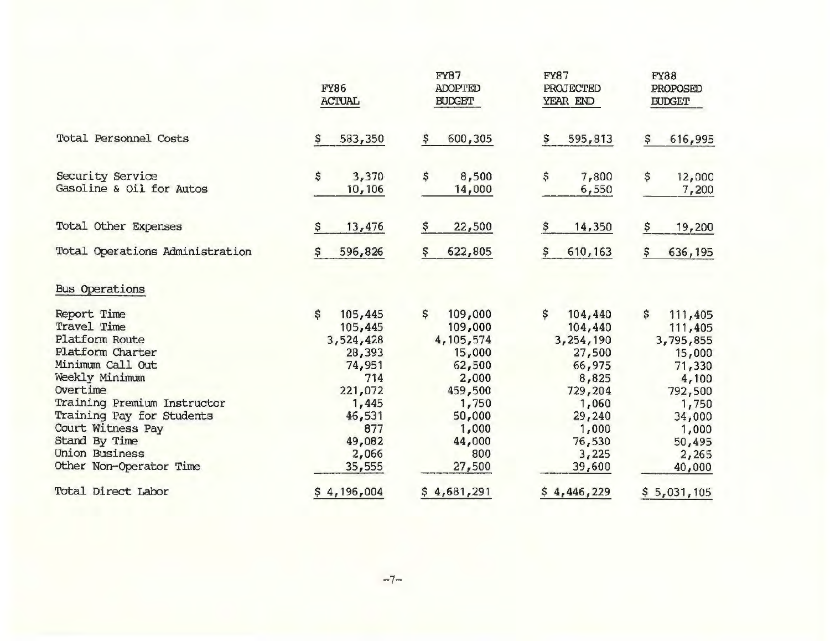|                                              | <b>FY86</b><br><b>ACTUAL</b> | <b>FY87</b><br><b>ADOPTED</b><br><b>BUDGET</b> | <b>FY87</b><br><b>PROJECTED</b><br>YEAR END | <b>FY88</b><br>PROPOSED<br><b>BUDGET</b> |
|----------------------------------------------|------------------------------|------------------------------------------------|---------------------------------------------|------------------------------------------|
| Total Personnel Costs                        | 583,350                      | 600,305<br>Ş                                   | 595,813<br>s                                | 616,995<br>\$                            |
| Security Service<br>Gasoline & Oil for Autos | \$<br>3,370<br>10,106        | \$<br>8,500<br>14,000                          | \$<br>7,800<br>6,550                        | \$<br>12,000<br>7,200                    |
| Total Other Expenses                         | 13,476<br>\$                 | \$<br>22,500                                   | 14,350<br>\$                                | 19,200<br>\$                             |
| Total Operations Administration              | 596,826                      | 622,805<br>\$                                  | 610, 163<br>Ş                               | \$<br>636,195                            |
| <b>Bus Operations</b>                        |                              |                                                |                                             |                                          |
| Report Time<br>Travel Time                   | \$<br>105,445                | \$<br>109,000                                  | \$<br>104,440                               | \$<br>111,405                            |
| Platform Route                               | 105,445<br>3,524,428         | 109,000<br>4,105,574                           | 104,440<br>3,254,190                        | 111,405<br>3,795,855                     |
| Platform Charter                             | 28,393                       | 15,000                                         | 27,500                                      | 15,000                                   |
| Minimum Call Out                             | 74,951                       | 62,500                                         | 66,975                                      | 71,330                                   |
| Weekly Minimum                               | 714                          | 2,000                                          | 8,825                                       | 4,100                                    |
| Overtime                                     | 221,072                      | 459,500                                        | 729,204                                     | 792,500                                  |
| Training Premium Instructor                  | 1,445                        | 1,750                                          | 1,060                                       | 1,750                                    |
| Training Pay for Students                    | 46,531                       | 50,000                                         | 29,240                                      | 34,000                                   |
| Court Witness Pay                            | 877                          | 1,000                                          | 1,000                                       | 1,000                                    |
| Stand By Time                                | 49,082                       | 44,000                                         | 76,530                                      | 50,495                                   |
| Union Business                               | 2,066                        | 800                                            | 3,225                                       | 2,265                                    |
| Other Non-Operator Time                      | 35,555                       | 27,500                                         | 39,600                                      | 40,000                                   |
| Total Direct Labor                           | \$4,196,004                  | \$4,681,291                                    | \$4,446,229                                 | \$5,031,105                              |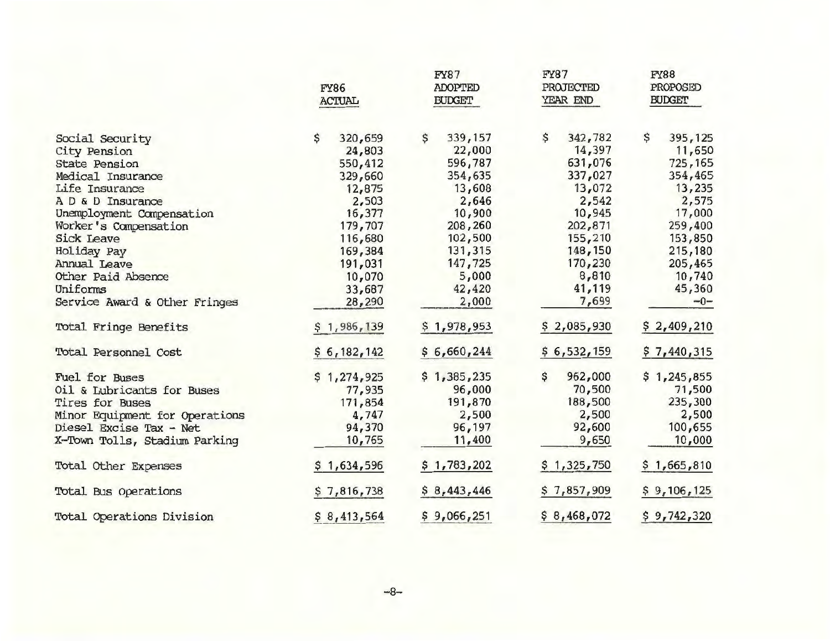|                                | <b>FY86</b><br><b>ACTUAL</b> | <b>FY87</b><br><b>ADOPTED</b><br><b>BUDGET</b> | <b>FY87</b><br>PROJECTED<br>YEAR END | <b>FY88</b><br>PROPOSED<br><b>BUDGET</b> |  |
|--------------------------------|------------------------------|------------------------------------------------|--------------------------------------|------------------------------------------|--|
| Social Security                | \$<br>320,659                | \$<br>339,157                                  | \$<br>342,782                        | \$<br>395, 125                           |  |
| City Pension                   | 24,803                       | 22,000                                         | 14,397                               | 11,650                                   |  |
| State Pension                  | 550,412                      | 596,787                                        | 631,076                              | 725,165                                  |  |
| Medical Insurance              | 329,660                      | 354,635                                        | 337,027                              | 354,465                                  |  |
| Life Insurance                 | 12,875                       | 13,608                                         | 13,072                               | 13,235                                   |  |
| A D & D Insurance              | 2,503                        | 2,646                                          | 2,542                                | 2,575                                    |  |
| Unemployment Compensation      | 16,377                       | 10,900                                         | 10,945                               | 17,000                                   |  |
| Worker's Compensation          | 179,707                      | 208,260                                        | 202,871                              | 259,400                                  |  |
| <b>Sick Leave</b>              | 116,680                      | 102,500                                        | 155,210                              | 153,850                                  |  |
| Holiday Pay                    | 169,384                      | 131,315                                        | 148,150                              | 215,180                                  |  |
| Annual Leave                   | 191,031                      | 147,725                                        | 170,230                              | 205,465                                  |  |
| Other Paid Absence             | 10,070                       | 5,000                                          | 8,810                                | 10,740                                   |  |
| Uniforms                       | 33,687                       | 42,420                                         | 41,119                               | 45,360                                   |  |
| Service Award & Other Fringes  | 28,290                       | 2,000                                          | 7,699                                | $-0-$                                    |  |
| Total Fringe Benefits          | \$1,986,139                  | \$1,978,953                                    | \$2,085,930                          | \$2,409,210                              |  |
| Total Personnel Cost           | \$6,182,142                  | \$6,660,244                                    | \$6,532,159                          | \$7,440,315                              |  |
| <b>Fuel for Buses</b>          | \$1,274,925                  | \$1,385,235                                    | \$<br>962,000                        | \$1,245,855                              |  |
| Oil & Lubricants for Buses     | 77,935                       | 96,000                                         | 70,500                               | 71,500                                   |  |
| Tires for Buses                | 171,854                      | 191,870                                        | 188,500                              | 235,300                                  |  |
| Minor Equipment for Operations | 4,747                        | 2,500                                          | 2,500                                | 2,500                                    |  |
| Diesel Excise Tax - Net        | 94,370                       | 96,197                                         | 92,600                               | 100,655                                  |  |
| X-Town Tolls, Stadium Parking  | 10,765                       | 11,400                                         | 9,650                                | 10,000                                   |  |
| Total Other Expenses           | \$1,634,596                  | \$1,783,202                                    | \$1,325,750                          | \$1,665,810                              |  |
| Total Bus Operations           | \$7,816,738                  | \$8,443,446                                    | \$7,857,909                          | \$9,106,125                              |  |
| Total Operations Division      | \$8,413,564                  | \$9,066,251                                    | \$8,468,072                          | \$9,742,320                              |  |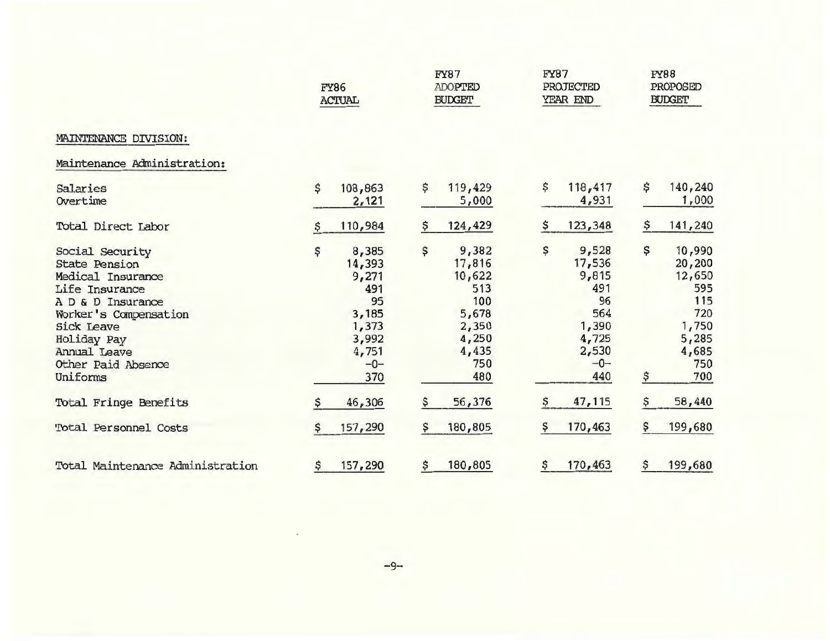|                                                                                                                                                                                                             | FY86<br><b>ACTUAL</b>                                                                           | <b>FY87</b><br><b>ADOPTED</b><br><b>BUDGET</b>                                                  |                                                                                               | <b>FY88</b><br>PROPOSED<br><b>BUDGET</b>                                                             |  |
|-------------------------------------------------------------------------------------------------------------------------------------------------------------------------------------------------------------|-------------------------------------------------------------------------------------------------|-------------------------------------------------------------------------------------------------|-----------------------------------------------------------------------------------------------|------------------------------------------------------------------------------------------------------|--|
| MAINTENANCE DIVISION:                                                                                                                                                                                       |                                                                                                 |                                                                                                 |                                                                                               |                                                                                                      |  |
| Maintenance Administration:                                                                                                                                                                                 |                                                                                                 |                                                                                                 |                                                                                               |                                                                                                      |  |
| Salaries<br>Overtime                                                                                                                                                                                        | 108,863<br>\$<br>2,121                                                                          | 119,429<br>\$<br>5,000                                                                          | \$<br>118,417<br>4,931                                                                        | \$<br>140,240<br>1,000                                                                               |  |
| Total Direct Labor                                                                                                                                                                                          | 110,984                                                                                         | 124,429<br>Ş                                                                                    | \$<br>123,348                                                                                 | \$<br>141,240                                                                                        |  |
| Social Security<br><b>State Pension</b><br>Medical Insurance<br>Life Insurance<br>A D & D Insurance<br>Worker's Compensation<br>Sick Leave<br>Holiday Pay<br>Annual Leave<br>Other Paid Absence<br>Uniforms | \$<br>8,385<br>14,393<br>9,271<br>491<br>95<br>3,185<br>1,373<br>3,992<br>4,751<br>$-0-$<br>370 | \$<br>9,382<br>17,816<br>10,622<br>513<br>100<br>5,678<br>2,350<br>4,250<br>4,435<br>750<br>480 | \$<br>9,528<br>17,536<br>9,815<br>491<br>96<br>564<br>1,390<br>4,725<br>2,530<br>$-0-$<br>440 | \$<br>10,990<br>20,200<br>12,650<br>595<br>115<br>720<br>1,750<br>5,285<br>4,685<br>750<br>\$<br>700 |  |
| Total Fringe Benefits                                                                                                                                                                                       | 46,306                                                                                          | 56,376<br>\$                                                                                    | 47,115                                                                                        | 58,440<br>Ş                                                                                          |  |
| Total Personnel Costs                                                                                                                                                                                       | 157,290<br>\$                                                                                   | 180,805<br>\$                                                                                   | 170,463<br>s                                                                                  | \$<br>199,680                                                                                        |  |
| Total Maintenance Administration                                                                                                                                                                            | 157,290<br>\$                                                                                   | \$<br>180,805                                                                                   | 170,463<br>\$                                                                                 | 199,680<br>\$                                                                                        |  |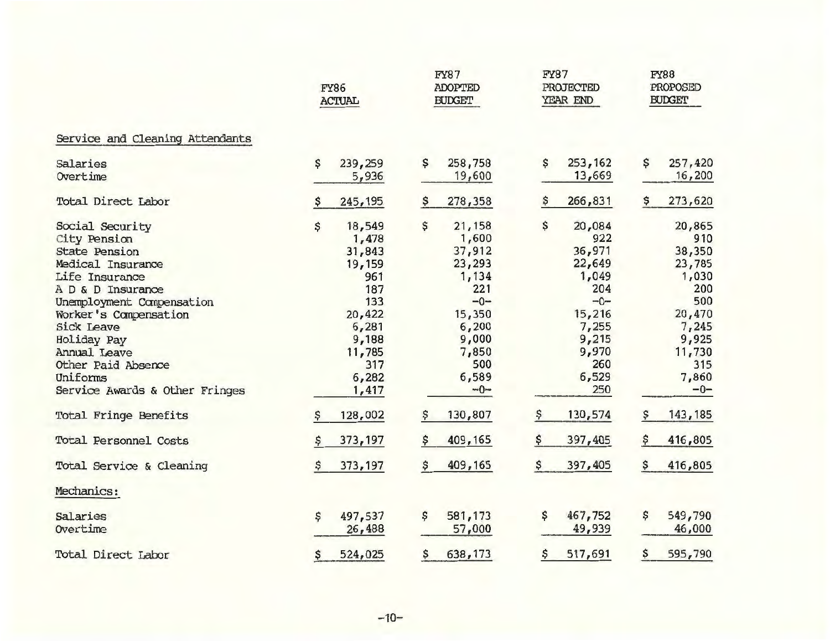|                                 | <b>FY86</b><br><b>ACTUAL</b> |          | <b>FY87</b><br><b>ADOPTED</b><br><b>BUDGET</b> |         | <b>FY87</b><br><b>PROJECTED</b><br>YEAR END |         | <b>FY88</b><br>PROPOSED<br><b>BUDGET</b> |          |
|---------------------------------|------------------------------|----------|------------------------------------------------|---------|---------------------------------------------|---------|------------------------------------------|----------|
| Service and Cleaning Attendants |                              |          |                                                |         |                                             |         |                                          |          |
| Salaries                        | \$                           | 239,259  | \$                                             | 258,758 | \$                                          | 253,162 | \$                                       | 257,420  |
| Overtime                        |                              | 5,936    |                                                | 19,600  |                                             | 13,669  |                                          | 16,200   |
| Total Direct Labor              |                              | 245, 195 | Ş                                              | 278,358 |                                             | 266,831 | \$                                       | 273,620  |
| Social Security                 | \$                           | 18,549   | \$                                             | 21,158  | \$                                          | 20,084  |                                          | 20,865   |
| City Pension                    |                              | 1,478    |                                                | 1,600   |                                             | 922     |                                          | 910      |
| <b>State Pension</b>            |                              | 31,843   |                                                | 37,912  |                                             | 36,971  |                                          | 38,350   |
| Medical Insurance               |                              | 19,159   |                                                | 23,293  |                                             | 22,649  |                                          | 23,785   |
| Life Insurance                  |                              | 961      |                                                | 1,134   |                                             | 1,049   |                                          | 1,030    |
| A D & D Insurance               |                              | 187      |                                                | 221     |                                             | 204     |                                          | 200      |
| Unemployment Compensation       |                              | 133      |                                                | $-0-$   |                                             | $-0-$   |                                          | 500      |
| Worker's Compensation           |                              | 20,422   |                                                | 15,350  |                                             | 15,216  |                                          | 20,470   |
| <b>Sick Leave</b>               |                              | 6,281    |                                                | 6,200   |                                             | 7,255   |                                          | 7,245    |
| Holiday Pay                     |                              | 9,188    |                                                | 9,000   |                                             | 9,215   |                                          | 9,925    |
| Annual Leave                    |                              | 11,785   |                                                | 7,850   |                                             | 9,970   |                                          | 11,730   |
| Other Paid Absence              |                              | 317      |                                                | 500     |                                             | 260     |                                          | 315      |
| Uniforms                        |                              | 6,282    |                                                | 6,589   |                                             | 6,529   |                                          | 7,860    |
| Service Awards & Other Fringes  |                              | 1,417    |                                                | $-0-$   |                                             | 250     |                                          | $-0-$    |
| Total Fringe Benefits           | s                            | 128,002  | \$                                             | 130,807 | \$                                          | 130,574 | \$.                                      | 143, 185 |
| Total Personnel Costs           |                              | 373,197  | \$                                             | 409,165 | \$                                          | 397,405 | \$                                       | 416,805  |
| Total Service & Cleaning        |                              | 373, 197 | \$                                             | 409,165 | \$                                          | 397,405 | \$                                       | 416,805  |
| Mechanics:                      |                              |          |                                                |         |                                             |         |                                          |          |
| Salaries                        | \$                           | 497,537  | \$                                             | 581,173 | \$                                          | 467,752 | \$                                       | 549,790  |
| Overtime                        |                              | 26,488   |                                                | 57,000  |                                             | 49,939  |                                          | 46,000   |
| Total Direct Labor              | \$                           | 524,025  | \$                                             | 638,173 | \$                                          | 517,691 | \$                                       | 595,790  |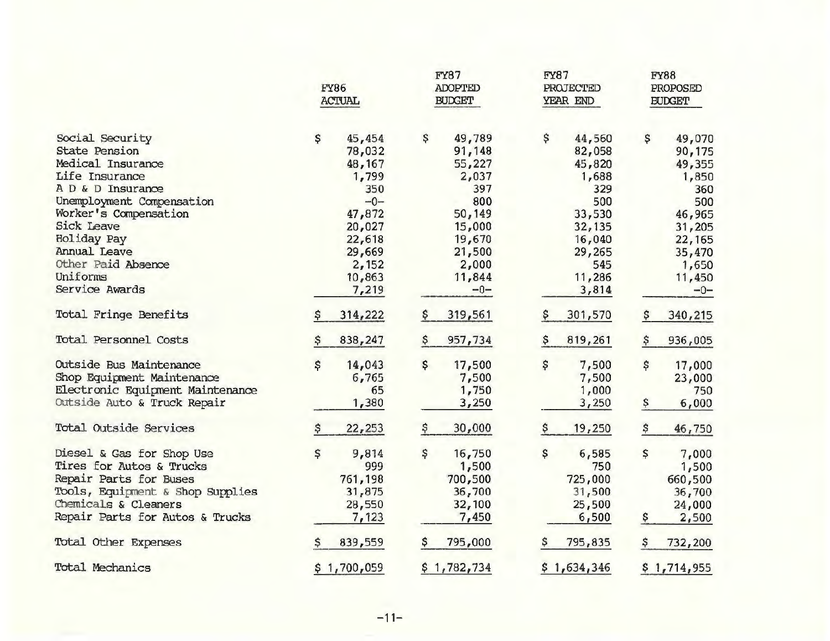|                                  | <b>FY86</b><br><b>ACTUAL</b> |             | FY87<br><b>ADOPTED</b><br><b>BUDGET</b> |             | <b>FY87</b><br>PROJECTED<br>YEAR END |             | <b>FY88</b><br>PROPOSED<br><b>BUDGET</b> |             |
|----------------------------------|------------------------------|-------------|-----------------------------------------|-------------|--------------------------------------|-------------|------------------------------------------|-------------|
| Social Security                  | \$                           | 45,454      | \$                                      | 49,789      | \$                                   | 44,560      | \$                                       | 49,070      |
| <b>State Pension</b>             |                              | 78,032      |                                         | 91,148      |                                      | 82,058      |                                          | 90,175      |
| Medical Insurance                |                              | 48,167      |                                         | 55,227      |                                      | 45,820      |                                          | 49,355      |
| Life Insurance                   |                              | 1,799       |                                         | 2,037       |                                      | 1,688       |                                          | 1,850       |
| A D & D Insurance                |                              | 350         |                                         | 397         |                                      | 329         |                                          | 360         |
| Unemployment Compensation        |                              | $-0-$       |                                         | 800         |                                      | 500         |                                          | 500         |
| Worker's Compensation            |                              | 47,872      |                                         | 50,149      |                                      | 33,530      |                                          | 46,965      |
| Sick Leave                       |                              | 20,027      |                                         | 15,000      |                                      | 32, 135     |                                          | 31,205      |
| Holiday Pay                      |                              | 22,618      |                                         | 19,670      |                                      | 16,040      |                                          | 22,165      |
| Annual Leave                     |                              | 29,669      |                                         | 21,500      |                                      | 29,265      |                                          | 35,470      |
| Other Paid Absence               |                              | 2,152       |                                         | 2,000       |                                      | 545         |                                          | 1,650       |
| Uniforms                         |                              | 10,863      |                                         | 11,844      |                                      | 11,286      |                                          | 11,450      |
| Service Awards                   |                              | 7,219       |                                         | $-0-$       |                                      | 3,814       |                                          | $-0-$       |
| Total Fringe Benefits            |                              | 314,222     | Ş                                       | 319,561     |                                      | 301,570     | \$.                                      | 340,215     |
| Total Personnel Costs            |                              | 838,247     |                                         | 957,734     |                                      | 819,261     | \$                                       | 936,005     |
| Outside Bus Maintenance          | \$                           | 14,043      | \$                                      | 17,500      | \$                                   | 7,500       | \$                                       | 17,000      |
| Shop Equipment Maintenance       |                              | 6,765       |                                         | 7,500       |                                      | 7,500       |                                          | 23,000      |
| Electronic Equipment Maintenance |                              | 65          |                                         | 1,750       |                                      | 1,000       |                                          | 750         |
| Outside Auto & Truck Repair      |                              | 1,380       |                                         | 3,250       |                                      | 3,250       | \$.                                      | 6,000       |
| Total Outside Services           | \$                           | 22, 253     | \$                                      | 30,000      |                                      | 19,250      | \$                                       | 46,750      |
| Diesel & Gas for Shop Use        | \$                           | 9,814       | \$                                      | 16,750      | \$                                   | 6,585       | \$                                       | 7,000       |
| Tires for Autos & Trucks         |                              | 999         |                                         | 1,500       |                                      | 750         |                                          | 1,500       |
| Repair Parts for Buses           |                              | 761,198     |                                         | 700,500     |                                      | 725,000     |                                          | 660,500     |
| Tools, Equipment & Shop Supplies |                              | 31,875      |                                         | 36,700      |                                      | 31,500      |                                          | 36,700      |
| Chemicals & Cleaners             |                              | 28,550      |                                         | 32,100      |                                      | 25,500      |                                          | 24,000      |
| Repair Parts for Autos & Trucks  |                              | 7,123       |                                         | 7,450       |                                      | 6,500       | \$                                       | 2,500       |
| Total Other Expenses             |                              | 839,559     |                                         | 795,000     |                                      | 795,835     | \$.                                      | 732,200     |
| Total Mechanics                  |                              | \$1,700,059 |                                         | \$1,782,734 |                                      | \$1,634,346 |                                          | \$1,714,955 |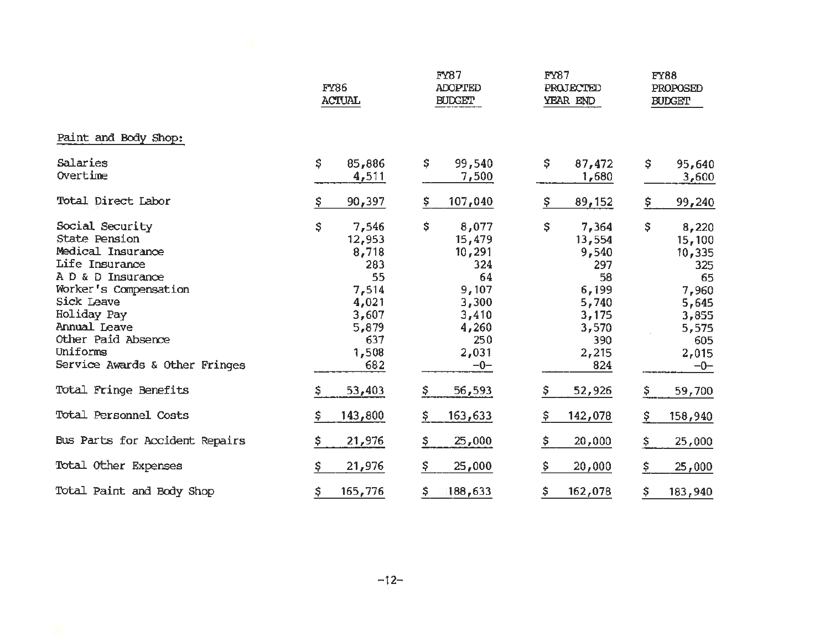|                                                                                                                                                                                                                                        | FY86<br><b>ACTUAL</b>                                                                                  |                                                                                                           | FY87<br>PROJECTED<br>YEAR END                                                                          | <b>FY88</b><br>PROPOSED<br><b>BUDGET</b>                                                                  |  |
|----------------------------------------------------------------------------------------------------------------------------------------------------------------------------------------------------------------------------------------|--------------------------------------------------------------------------------------------------------|-----------------------------------------------------------------------------------------------------------|--------------------------------------------------------------------------------------------------------|-----------------------------------------------------------------------------------------------------------|--|
| Paint and Body Shop:                                                                                                                                                                                                                   |                                                                                                        |                                                                                                           |                                                                                                        |                                                                                                           |  |
| Salaries<br>Overtime                                                                                                                                                                                                                   | \$<br>85,886<br>4,511                                                                                  | \$<br>99,540<br>7,500                                                                                     | \$<br>87,472<br>1,680                                                                                  | \$<br>95,640<br>3,600                                                                                     |  |
| Total Direct Labor                                                                                                                                                                                                                     | 90,397                                                                                                 | \$<br>107,040                                                                                             | \$<br>89,152                                                                                           | \$.<br>99,240                                                                                             |  |
| Social Security<br>State Pension<br>Medical Insurance<br>Life Insurance<br>A D & D Insurance<br>Worker's Compensation<br>Sick Leave<br>Holiday Pay<br>Annual Leave<br>Other Paid Absence<br>Uniforms<br>Service Awards & Other Fringes | \$<br>7,546<br>12,953<br>8,718<br>283<br>55<br>7,514<br>4,021<br>3,607<br>5,879<br>637<br>1,508<br>682 | \$<br>8,077<br>15,479<br>10,291<br>324<br>64<br>9,107<br>3,300<br>3,410<br>4,260<br>250<br>2,031<br>$-0-$ | \$<br>7,364<br>13,554<br>9,540<br>297<br>58<br>6,199<br>5,740<br>3,175<br>3,570<br>390<br>2,215<br>824 | \$<br>8,220<br>15,100<br>10,335<br>325<br>65<br>7,960<br>5,645<br>3,855<br>5,575<br>605<br>2,015<br>$-0-$ |  |
| Total Fringe Benefits                                                                                                                                                                                                                  | 53,403                                                                                                 | \$                                                                                                        | \$                                                                                                     | \$                                                                                                        |  |
|                                                                                                                                                                                                                                        | S.                                                                                                     | 56,593                                                                                                    | 52,926                                                                                                 | 59,700                                                                                                    |  |
| Total Personnel Costs                                                                                                                                                                                                                  | 143,800                                                                                                | \$.                                                                                                       | \$                                                                                                     | \$                                                                                                        |  |
|                                                                                                                                                                                                                                        | \$.                                                                                                    | 163,633                                                                                                   | 142,078                                                                                                | 158,940                                                                                                   |  |
| Bus Parts for Accident Repairs                                                                                                                                                                                                         | s                                                                                                      | \$                                                                                                        | \$                                                                                                     | \$                                                                                                        |  |
|                                                                                                                                                                                                                                        | 21,976                                                                                                 | 25,000                                                                                                    | 20,000                                                                                                 | 25,000                                                                                                    |  |
| Total Other Expenses                                                                                                                                                                                                                   | Š.                                                                                                     | S.                                                                                                        | \$                                                                                                     | \$                                                                                                        |  |
|                                                                                                                                                                                                                                        | 21,976                                                                                                 | 25,000                                                                                                    | 20,000                                                                                                 | 25,000                                                                                                    |  |
| Total Paint and Body Shop                                                                                                                                                                                                              | \$                                                                                                     | \$                                                                                                        | \$                                                                                                     | \$                                                                                                        |  |
|                                                                                                                                                                                                                                        | 165,776                                                                                                | 188,633                                                                                                   | 162,078                                                                                                | 183,940                                                                                                   |  |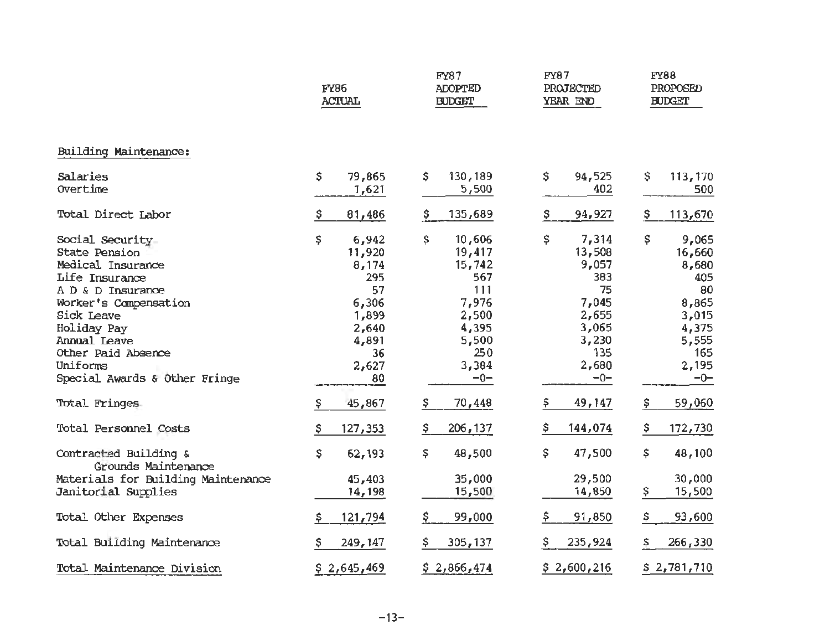|                                                                                                                                                                                                                                       | <b>FY86</b><br><b>ACTUAL</b>                                                                         | FY87<br><b>ADOPTED</b><br><b>BUDGET</b>                                                                     | FY87<br>PROJECTED<br>YEAR END                                                                            | <b>FY88</b><br>PROPOSED<br><b>BUDGET</b>                                                                 |  |
|---------------------------------------------------------------------------------------------------------------------------------------------------------------------------------------------------------------------------------------|------------------------------------------------------------------------------------------------------|-------------------------------------------------------------------------------------------------------------|----------------------------------------------------------------------------------------------------------|----------------------------------------------------------------------------------------------------------|--|
| Building Maintenance:                                                                                                                                                                                                                 |                                                                                                      |                                                                                                             |                                                                                                          |                                                                                                          |  |
| Salaries<br>Overtime                                                                                                                                                                                                                  | \$<br>79,865<br>1,621                                                                                | \$<br>130,189<br>5,500                                                                                      | \$<br>94,525<br>402                                                                                      | \$<br>113,170<br>500                                                                                     |  |
| Total Direct Labor                                                                                                                                                                                                                    | 81,486                                                                                               | 135,689<br>s                                                                                                | 94,927<br>Ş.                                                                                             | \$<br>113,670                                                                                            |  |
| Social Security<br>State Pension<br>Medical Insurance<br>Life Insurance<br>A D & D Insurance<br>Worker's Compensation<br>Sick Leave<br>Holiday Pay<br>Annual Leave<br>Other Paid Absence<br>Uniforms<br>Special Awards & Other Fringe | \$<br>6,942<br>11,920<br>8,174<br>295<br>57<br>6,306<br>1,899<br>2,640<br>4,891<br>36<br>2,627<br>80 | \$<br>10,606<br>19,417<br>15,742<br>567<br>111<br>7,976<br>2,500<br>4,395<br>5,500<br>250<br>3,384<br>$-0-$ | \$<br>7,314<br>13,508<br>9,057<br>383<br>75<br>7,045<br>2,655<br>3,065<br>3,230<br>135<br>2,680<br>$-0-$ | \$<br>9,065<br>16,660<br>8,680<br>405<br>80<br>8,865<br>3,015<br>4,375<br>5,555<br>165<br>2,195<br>$-0-$ |  |
| Total Fringes                                                                                                                                                                                                                         | 45,867<br>s                                                                                          | 70,448<br>s                                                                                                 | 49,147<br>\$                                                                                             | \$<br>59,060                                                                                             |  |
| Total Personnel Costs                                                                                                                                                                                                                 | 127,353<br>\$                                                                                        | \$<br>206, 137                                                                                              | 144,074<br>\$.                                                                                           | \$<br>172,730                                                                                            |  |
| Contracted Building &<br>Grounds Maintenance<br>Materials for Building Maintenance<br>Janitorial Supplies                                                                                                                             | \$<br>62,193<br>45,403<br>14,198                                                                     | \$<br>48,500<br>35,000<br>15,500                                                                            | \$<br>47,500<br>29,500<br>14,850                                                                         | \$<br>48,100<br>30,000<br>\$<br>15,500                                                                   |  |
| Total Other Expenses                                                                                                                                                                                                                  | 121,794                                                                                              | 99,000                                                                                                      | 91,850<br>Ş                                                                                              | \$<br>93,600                                                                                             |  |
| Total Building Maintenance                                                                                                                                                                                                            | 249, 147                                                                                             | 305,137                                                                                                     | 235,924<br>Ş.                                                                                            | 266,330<br>\$                                                                                            |  |
| Total Maintenance Division                                                                                                                                                                                                            | \$2,645,469                                                                                          | \$2,866,474                                                                                                 | \$2,600,216                                                                                              | \$2,781,710                                                                                              |  |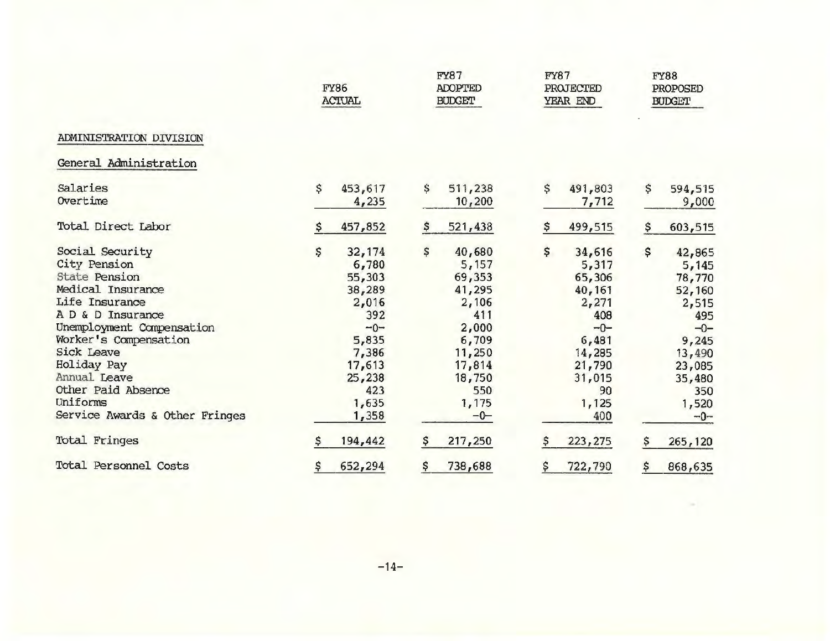|                                                                                                                                                                                                                                                                                                   |    | <b>FY86</b><br><b>ACTUAL</b>                                                                                                |    | <b>FY87</b><br><b>ADOPTED</b><br><b>BUDGET</b>                                                                               |    | <b>FY87</b><br>PROJECTED<br>YEAR END                                                                                      |     | <b>FY88</b><br>PROPOSED<br><b>BUDGET</b>                                                                                     |  |
|---------------------------------------------------------------------------------------------------------------------------------------------------------------------------------------------------------------------------------------------------------------------------------------------------|----|-----------------------------------------------------------------------------------------------------------------------------|----|------------------------------------------------------------------------------------------------------------------------------|----|---------------------------------------------------------------------------------------------------------------------------|-----|------------------------------------------------------------------------------------------------------------------------------|--|
| ADMINISTRATION DIVISION                                                                                                                                                                                                                                                                           |    |                                                                                                                             |    |                                                                                                                              |    |                                                                                                                           |     |                                                                                                                              |  |
| General Administration                                                                                                                                                                                                                                                                            |    |                                                                                                                             |    |                                                                                                                              |    |                                                                                                                           |     |                                                                                                                              |  |
| Salaries<br>Overtime                                                                                                                                                                                                                                                                              | \$ | 453,617<br>4,235                                                                                                            | \$ | 511,238<br>10,200                                                                                                            | \$ | 491,803<br>7,712                                                                                                          | \$  | 594,515<br>9,000                                                                                                             |  |
| Total Direct Labor                                                                                                                                                                                                                                                                                |    | 457,852                                                                                                                     |    | 521,438                                                                                                                      | Ş  | 499,515                                                                                                                   | \$. | 603,515                                                                                                                      |  |
| Social Security<br>City Pension<br><b>State Pension</b><br>Medical Insurance<br>Life Insurance<br>A D & D Insurance<br>Unemployment Compensation<br>Worker's Compensation<br><b>Sick Leave</b><br>Holiday Pay<br>Annual Leave<br>Other Paid Absence<br>Uniforms<br>Service Awards & Other Fringes | \$ | 32,174<br>6,780<br>55,303<br>38,289<br>2,016<br>392<br>$-0-$<br>5,835<br>7,386<br>17,613<br>25,238<br>423<br>1,635<br>1,358 | \$ | 40,680<br>5,157<br>69,353<br>41,295<br>2,106<br>411<br>2,000<br>6,709<br>11,250<br>17,814<br>18,750<br>550<br>1,175<br>$-0-$ | \$ | 34,616<br>5,317<br>65,306<br>40,161<br>2,271<br>408<br>$-0-$<br>6,481<br>14,285<br>21,790<br>31,015<br>90<br>1,125<br>400 | \$  | 42,865<br>5,145<br>78,770<br>52,160<br>2,515<br>495<br>$-0-$<br>9,245<br>13,490<br>23,085<br>35,480<br>350<br>1,520<br>$-0-$ |  |
| Total Fringes                                                                                                                                                                                                                                                                                     | S  | 194,442                                                                                                                     | s  | 217,250                                                                                                                      | s  | 223, 275                                                                                                                  | \$  | 265,120                                                                                                                      |  |
| Total Personnel Costs                                                                                                                                                                                                                                                                             | \$ | 652,294                                                                                                                     | \$ | 738,688                                                                                                                      | \$ | 722,790                                                                                                                   | \$  | 868,635                                                                                                                      |  |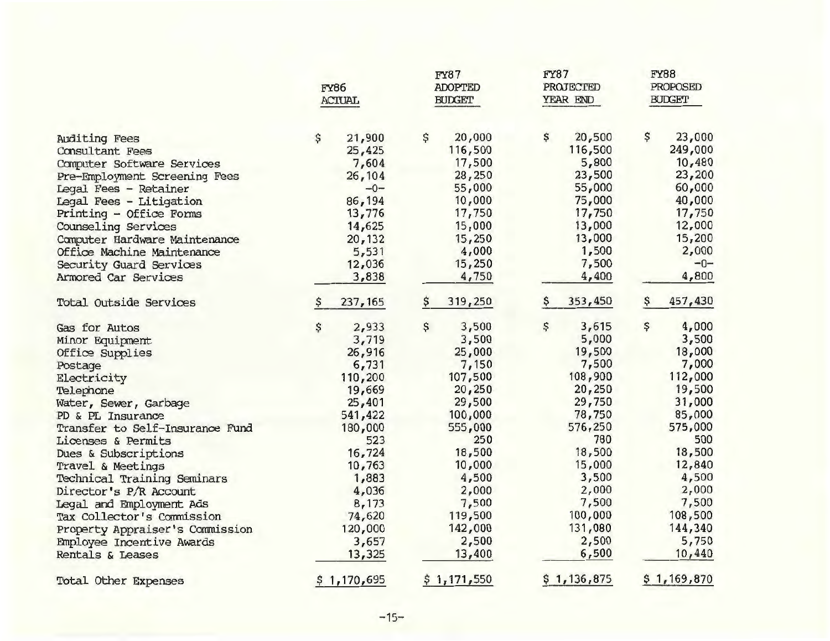|                                 | FY86<br><b>ACTUAL</b> |             | <b>FY87</b><br><b>ADOPTED</b><br><b>BUDGET</b> |             | FY87<br><b>PROJECTED</b><br>YEAR END |             | FY88<br>PROPOSED<br><b>BUDGET</b> |                |
|---------------------------------|-----------------------|-------------|------------------------------------------------|-------------|--------------------------------------|-------------|-----------------------------------|----------------|
| Auditing Fees                   | \$                    | 21,900      | \$                                             | 20,000      | \$                                   | 20,500      | \$                                | 23,000         |
| Consultant Fees                 |                       | 25,425      |                                                | 116,500     |                                      | 116,500     |                                   | 249,000        |
| Computer Software Services      |                       | 7,604       |                                                | 17,500      |                                      | 5,800       |                                   | 10,480         |
| Pre-Employment Screening Fees   |                       | 26,104      |                                                | 28,250      |                                      | 23,500      |                                   | 23,200         |
| Legal Fees - Retainer           |                       | $-0-$       |                                                | 55,000      |                                      | 55,000      |                                   | 60,000         |
| Legal Fees - Litigation         |                       | 86,194      |                                                | 10,000      |                                      | 75,000      |                                   | 40,000         |
| Printing - Office Forms         |                       | 13,776      |                                                | 17,750      |                                      | 17,750      |                                   | 17,750         |
| Counseling Services             |                       | 14,625      |                                                | 15,000      |                                      | 13,000      |                                   | 12,000         |
| Computer Hardware Maintenance   |                       | 20,132      |                                                | 15,250      |                                      | 13,000      |                                   | 15,200         |
| Office Machine Maintenance      |                       | 5,531       |                                                | 4,000       |                                      | 1,500       |                                   | 2,000<br>$-0-$ |
| Security Guard Services         |                       | 12,036      |                                                | 15,250      |                                      | 7,500       |                                   |                |
| Armored Car Services            |                       | 3,838       |                                                | 4,750       |                                      | 4,400       |                                   | 4,800          |
| Total Outside Services          |                       | 237, 165    | \$                                             | 319,250     | Ş.                                   | 353,450     | \$                                | 457,430        |
| Gas for Autos                   | \$                    | 2,933       | \$                                             | 3,500       | \$                                   | 3,615       | \$                                | 4,000          |
| Minor Equipment                 |                       | 3,719       |                                                | 3,500       |                                      | 5,000       |                                   | 3,500          |
| Office Supplies                 |                       | 26,916      |                                                | 25,000      |                                      | 19,500      |                                   | 18,000         |
| Postage                         |                       | 6,731       |                                                | 7,150       |                                      | 7,500       |                                   | 7,000          |
| Electricity                     |                       | 110,200     |                                                | 107,500     |                                      | 108,900     |                                   | 112,000        |
| Telephone                       |                       | 19,669      |                                                | 20,250      |                                      | 20,250      |                                   | 19,500         |
| Water, Sewer, Garbage           |                       | 25,401      |                                                | 29,500      |                                      | 29,750      |                                   | 31,000         |
| PD & PL Insurance               |                       | 541,422     |                                                | 100,000     |                                      | 78,750      |                                   | 85,000         |
| Transfer to Self-Insurance Fund |                       | 180,000     |                                                | 555,000     |                                      | 576,250     |                                   | 575,000        |
| Licenses & Permits              |                       | 523         |                                                | 250         |                                      | 780         |                                   | 500            |
| Dues & Subscriptions            |                       | 16,724      |                                                | 18,500      |                                      | 18,500      |                                   | 18,500         |
| Travel & Meetings               |                       | 10,763      |                                                | 10,000      |                                      | 15,000      |                                   | 12,840         |
| Technical Training Seminars     |                       | 1,883       |                                                | 4,500       |                                      | 3,500       |                                   | 4,500          |
| Director's P/R Account          |                       | 4,036       |                                                | 2,000       |                                      | 2,000       |                                   | 2,000          |
| Legal and Employment Ads        |                       | 8,173       |                                                | 7,500       |                                      | 7,500       |                                   | 7,500          |
| Tax Collector's Commission      |                       | 74,620      |                                                | 119,500     |                                      | 100,000     |                                   | 108,500        |
| Property Appraiser's Commission |                       | 120,000     |                                                | 142,000     |                                      | 131,080     |                                   | 144,340        |
| Employee Incentive Awards       |                       | 3,657       |                                                | 2,500       |                                      | 2,500       |                                   | 5,750          |
| Rentals & Leases                |                       | 13,325      |                                                | 13,400      |                                      | 6,500       |                                   | 10,440         |
| Total Other Expenses            |                       | \$1,170,695 |                                                | \$1,171,550 |                                      | \$1,136,875 |                                   | \$1,169,870    |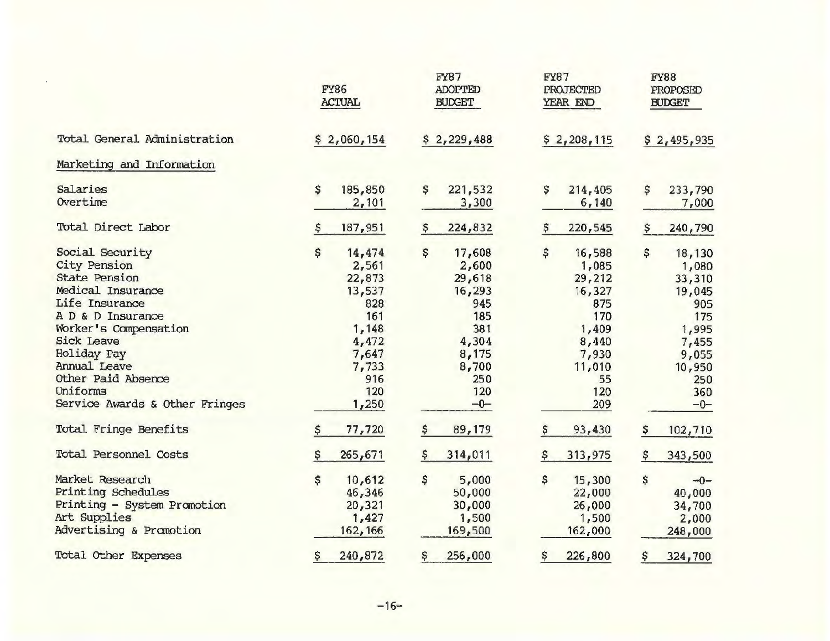|                                | <b>FY86</b><br><b>ACTUAL</b> |         | <b>FY87</b><br><b>ADOPTED</b><br><b>BUDGET</b> |         | <b>FY87</b><br><b>PROJECTED</b><br>YEAR END |         | <b>FY88</b><br>PROPOSED<br><b>BUDGET</b> |         |
|--------------------------------|------------------------------|---------|------------------------------------------------|---------|---------------------------------------------|---------|------------------------------------------|---------|
| Total General Administration   | \$2,060,154                  |         | \$2,229,488                                    |         | \$2,208,115                                 |         | \$2,495,935                              |         |
| Marketing and Information      |                              |         |                                                |         |                                             |         |                                          |         |
| Salaries                       | \$                           | 185,850 | \$                                             | 221,532 | \$                                          | 214,405 | \$                                       | 233,790 |
| Overtime                       |                              | 2,101   |                                                | 3,300   |                                             | 6,140   |                                          | 7,000   |
| Total Direct Labor             |                              | 187,951 | \$                                             | 224,832 | s                                           | 220,545 | \$                                       | 240,790 |
| Social Security                | \$                           | 14,474  | \$                                             | 17,608  | \$                                          | 16,588  | \$                                       | 18,130  |
| City Pension                   |                              | 2,561   |                                                | 2,600   |                                             | 1,085   |                                          | 1,080   |
| <b>State Pension</b>           |                              | 22,873  |                                                | 29,618  |                                             | 29,212  |                                          | 33,310  |
| Medical Insurance              |                              | 13,537  |                                                | 16, 293 |                                             | 16,327  |                                          | 19,045  |
| Life Insurance                 |                              | 828     |                                                | 945     |                                             | 875     |                                          | 905     |
| A D & D Insurance              |                              | 161     |                                                | 185     |                                             | 170     |                                          | 175     |
| Worker's Compensation          |                              | 1,148   |                                                | 381     |                                             | 1,409   |                                          | 1,995   |
| <b>Sick Leave</b>              |                              | 4,472   |                                                | 4,304   |                                             | 8,440   |                                          | 7,455   |
| Holiday Pay                    |                              | 7,647   |                                                | 8,175   |                                             | 7,930   |                                          | 9,055   |
| Annual Leave                   |                              | 7,733   |                                                | 8,700   |                                             | 11,010  |                                          | 10,950  |
| Other Paid Absence             |                              | 916     |                                                | 250     |                                             | 55      |                                          | 250     |
| Uniforms                       |                              | 120     |                                                | 120     |                                             | 120     |                                          | 360     |
| Service Awards & Other Fringes |                              | 1,250   |                                                | $-0-$   |                                             | 209     |                                          | $-0-$   |
| Total Fringe Benefits          | \$                           | 77,720  | \$                                             | 89,179  | \$                                          | 93,430  | \$                                       | 102,710 |
| <b>Total Personnel Costs</b>   |                              | 265,671 | \$                                             | 314,011 | Ş                                           | 313,975 | \$                                       | 343,500 |
| Market Research                | \$                           | 10,612  | \$                                             | 5,000   | \$                                          | 15,300  | \$                                       | $-0-$   |
| Printing Schedules             |                              | 46,346  |                                                | 50,000  |                                             | 22,000  |                                          | 40,000  |
| Printing - System Promotion    |                              | 20, 321 |                                                | 30,000  |                                             | 26,000  |                                          | 34,700  |
| Art Supplies                   |                              | 1,427   |                                                | 1,500   |                                             | 1,500   |                                          | 2,000   |
| Advertising & Promotion        |                              | 162,166 |                                                | 169,500 |                                             | 162,000 |                                          | 248,000 |
|                                |                              |         |                                                |         |                                             |         |                                          |         |
| Total Other Expenses           | \$                           | 240,872 | \$                                             | 256,000 | \$                                          | 226,800 | \$                                       | 324,700 |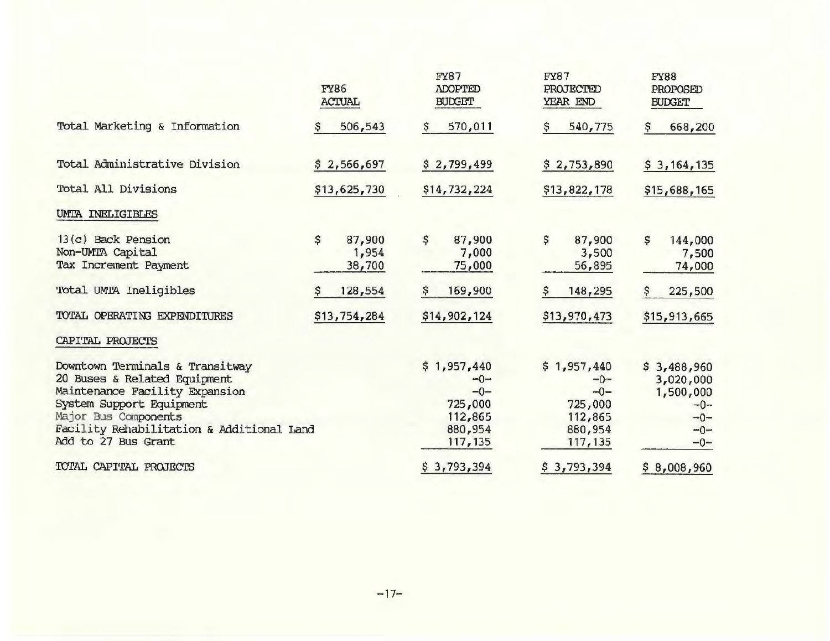|                                                                                                                                                                                                                           |              | <b>FY86</b><br><b>ACTUAL</b> |              | <b>FY87</b><br><b>ADOPTED</b><br><b>BUDGET</b>                             | <b>FY87</b>  | PROJECTED<br>YEAR END                                                     |              | <b>FY88</b><br>PROPOSED<br><b>BUDGET</b>                                  |
|---------------------------------------------------------------------------------------------------------------------------------------------------------------------------------------------------------------------------|--------------|------------------------------|--------------|----------------------------------------------------------------------------|--------------|---------------------------------------------------------------------------|--------------|---------------------------------------------------------------------------|
| Total Marketing & Information                                                                                                                                                                                             |              | 506,543                      | s            | 570,011                                                                    | Ş            | 540,775                                                                   | ş            | 668,200                                                                   |
| Total Administrative Division                                                                                                                                                                                             |              | \$2,566,697                  |              | \$2,799,499                                                                |              | \$2,753,890                                                               |              | \$3,164,135                                                               |
| Total All Divisions                                                                                                                                                                                                       | \$13,625,730 |                              | \$14,732,224 |                                                                            | \$13,822,178 |                                                                           | \$15,688,165 |                                                                           |
| UMTA INELIGIBLES                                                                                                                                                                                                          |              |                              |              |                                                                            |              |                                                                           |              |                                                                           |
| 13(c) Back Pension<br>Non-UMTA Capital<br>Tax Increment Payment                                                                                                                                                           | \$           | 87,900<br>1,954<br>38,700    | \$           | 87,900<br>7,000<br>75,000                                                  | \$           | 87,900<br>3,500<br>56,895                                                 | \$           | 144,000<br>7,500<br>74,000                                                |
| Total UMTA Ineligibles                                                                                                                                                                                                    |              | 128,554                      | Ş            | 169,900                                                                    | \$           | 148,295                                                                   | \$           | 225,500                                                                   |
| TOTAL OPERATING EXPENDITURES                                                                                                                                                                                              | \$13,754,284 |                              | \$14,902,124 |                                                                            | \$13,970,473 |                                                                           | \$15,913,665 |                                                                           |
| CAPITAL PROJECTS                                                                                                                                                                                                          |              |                              |              |                                                                            |              |                                                                           |              |                                                                           |
| Downtown Terminals & Transitway<br>20 Buses & Related Equipment<br>Maintenance Facility Expansion<br>System Support Equipment<br>Major Bus Components<br>Facility Rehabilitation & Additional Land<br>Add to 27 Bus Grant |              |                              |              | \$1,957,440<br>$-0-$<br>$-0-$<br>725,000<br>112,865<br>880,954<br>117, 135 |              | \$1,957,440<br>$-0-$<br>$-0-$<br>725,000<br>112,865<br>880,954<br>117,135 |              | \$3,488,960<br>3,020,000<br>1,500,000<br>$-0-$<br>$-0-$<br>$-0-$<br>$-0-$ |
| TOTAL CAPITAL PROJECTS                                                                                                                                                                                                    |              |                              |              | \$3,793,394                                                                |              | \$3,793,394                                                               |              | \$8,008,960                                                               |